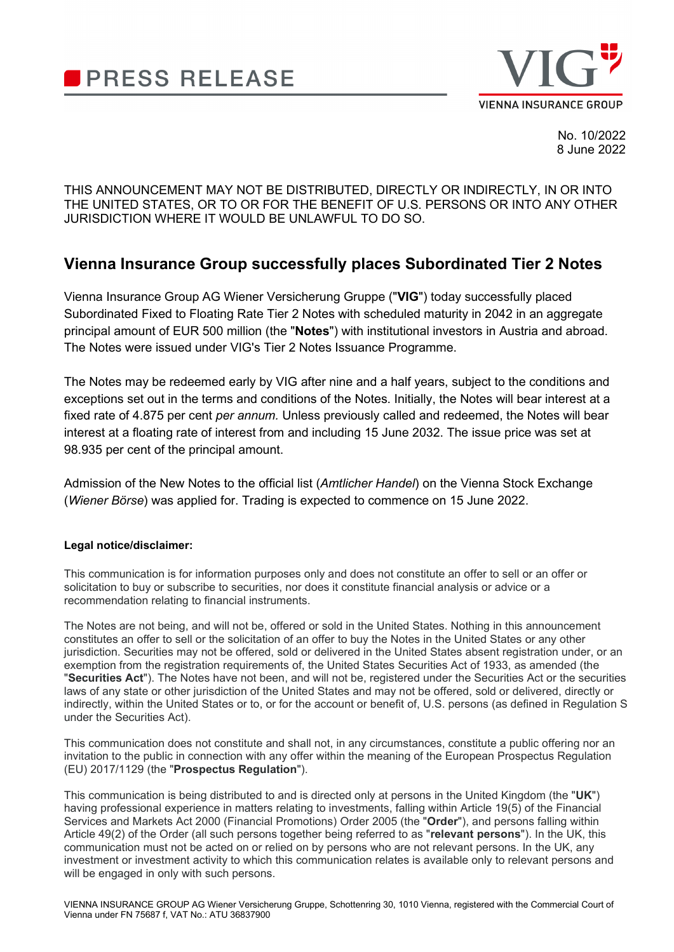



No. 10/2022 8 June 2022

THIS ANNOUNCEMENT MAY NOT BE DISTRIBUTED, DIRECTLY OR INDIRECTLY, IN OR INTO THE UNITED STATES, OR TO OR FOR THE BENEFIT OF U.S. PERSONS OR INTO ANY OTHER JURISDICTION WHERE IT WOULD BE UNLAWFUL TO DO SO.

## **Vienna Insurance Group successfully places Subordinated Tier 2 Notes**

Vienna Insurance Group AG Wiener Versicherung Gruppe ("**VIG**") today successfully placed Subordinated Fixed to Floating Rate Tier 2 Notes with scheduled maturity in 2042 in an aggregate principal amount of EUR 500 million (the "**Notes**") with institutional investors in Austria and abroad. The Notes were issued under VIG's Tier 2 Notes Issuance Programme.

The Notes may be redeemed early by VIG after nine and a half years, subject to the conditions and exceptions set out in the terms and conditions of the Notes. Initially, the Notes will bear interest at a fixed rate of 4.875 per cent *per annum.* Unless previously called and redeemed, the Notes will bear interest at a floating rate of interest from and including 15 June 2032. The issue price was set at 98.935 per cent of the principal amount.

Admission of the New Notes to the official list (*Amtlicher Handel*) on the Vienna Stock Exchange (*Wiener Börse*) was applied for. Trading is expected to commence on 15 June 2022.

## **Legal notice/disclaimer:**

This communication is for information purposes only and does not constitute an offer to sell or an offer or solicitation to buy or subscribe to securities, nor does it constitute financial analysis or advice or a recommendation relating to financial instruments.

The Notes are not being, and will not be, offered or sold in the United States. Nothing in this announcement constitutes an offer to sell or the solicitation of an offer to buy the Notes in the United States or any other jurisdiction. Securities may not be offered, sold or delivered in the United States absent registration under, or an exemption from the registration requirements of, the United States Securities Act of 1933, as amended (the "**Securities Act**"). The Notes have not been, and will not be, registered under the Securities Act or the securities laws of any state or other jurisdiction of the United States and may not be offered, sold or delivered, directly or indirectly, within the United States or to, or for the account or benefit of, U.S. persons (as defined in Regulation S under the Securities Act).

This communication does not constitute and shall not, in any circumstances, constitute a public offering nor an invitation to the public in connection with any offer within the meaning of the European Prospectus Regulation (EU) 2017/1129 (the "**Prospectus Regulation**").

This communication is being distributed to and is directed only at persons in the United Kingdom (the "**UK**") having professional experience in matters relating to investments, falling within Article 19(5) of the Financial Services and Markets Act 2000 (Financial Promotions) Order 2005 (the "**Order**"), and persons falling within Article 49(2) of the Order (all such persons together being referred to as "**relevant persons**"). In the UK, this communication must not be acted on or relied on by persons who are not relevant persons. In the UK, any investment or investment activity to which this communication relates is available only to relevant persons and will be engaged in only with such persons.